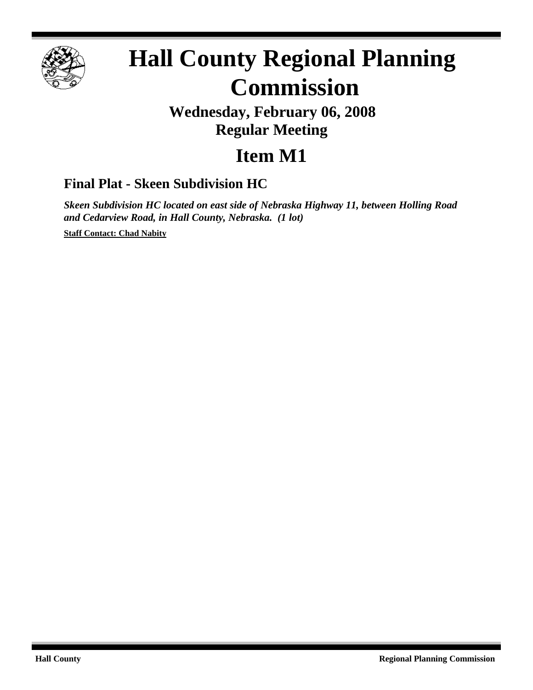

# **Hall County Regional Planning Commission**

## **Wednesday, February 06, 2008 Regular Meeting**

# **Item M1**

### **Final Plat - Skeen Subdivision HC**

*Skeen Subdivision HC located on east side of Nebraska Highway 11, between Holling Road and Cedarview Road, in Hall County, Nebraska. (1 lot)*

**Staff Contact: Chad Nabity**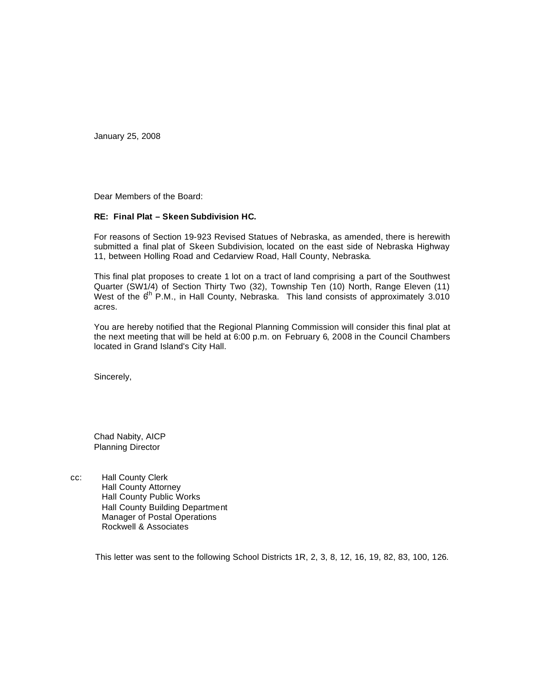January 25, 2008

Dear Members of the Board:

#### **RE: Final Plat – Skeen Subdivision HC.**

For reasons of Section 19-923 Revised Statues of Nebraska, as amended, there is herewith submitted a final plat of Skeen Subdivision, located on the east side of Nebraska Highway 11, between Holling Road and Cedarview Road, Hall County, Nebraska.

This final plat proposes to create 1 lot on a tract of land comprising a part of the Southwest Quarter (SW1/4) of Section Thirty Two (32), Township Ten (10) North, Range Eleven (11) West of the  $6<sup>th</sup>$  P.M., in Hall County, Nebraska. This land consists of approximately 3.010 acres.

You are hereby notified that the Regional Planning Commission will consider this final plat at the next meeting that will be held at 6:00 p.m. on February 6, 2008 in the Council Chambers located in Grand Island's City Hall.

Sincerely,

Chad Nabity, AICP Planning Director

cc: Hall County Clerk Hall County Attorney Hall County Public Works Hall County Building Department Manager of Postal Operations Rockwell & Associates

This letter was sent to the following School Districts 1R, 2, 3, 8, 12, 16, 19, 82, 83, 100, 126.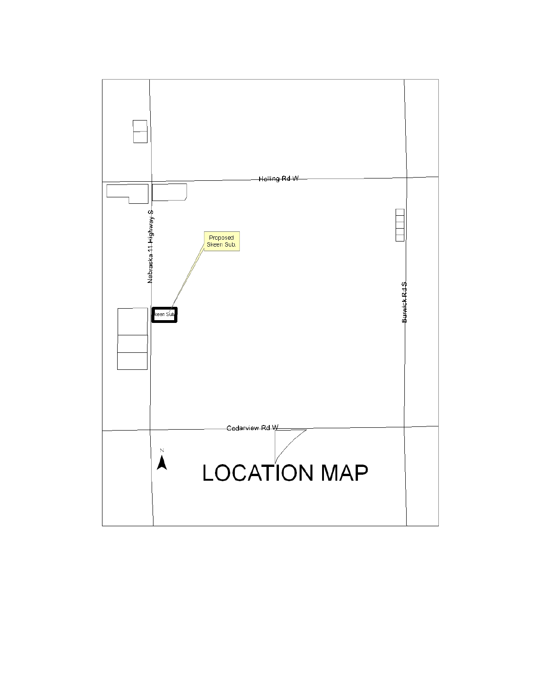